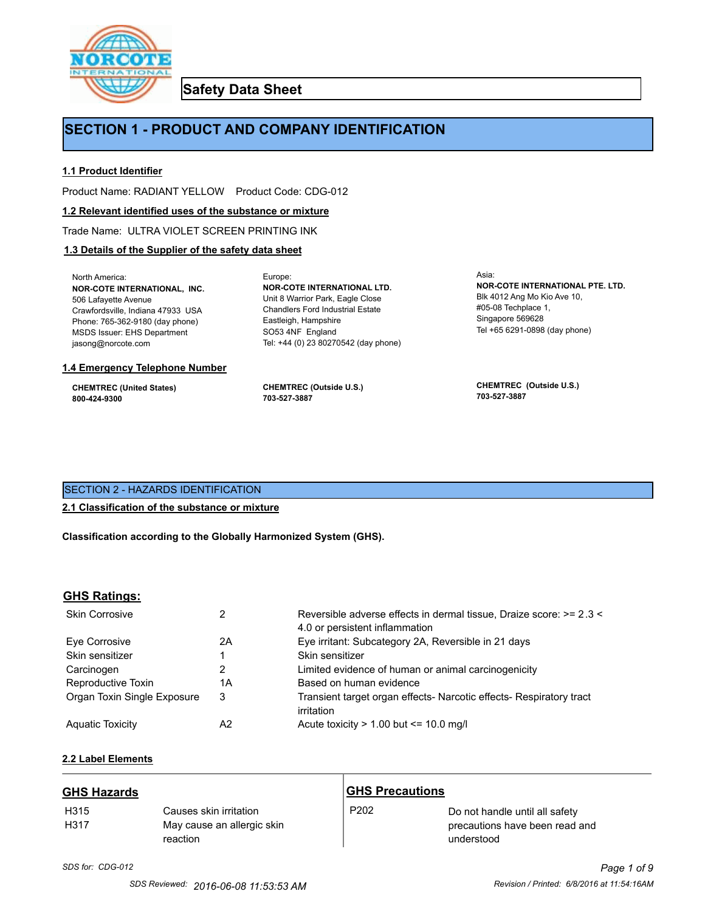

**Safety Data Sheet**

# **SECTION 1 - PRODUCT AND COMPANY IDENTIFICATION**

Europe:

# **1.1 Product Identifier**

Product Name: RADIANT YELLOW Product Code: CDG-012

#### **1.2 Relevant identified uses of the substance or mixture**

Trade Name: ULTRA VIOLET SCREEN PRINTING INK

# **1.3 Details of the Supplier of the safety data sheet**

North America: **NOR-COTE INTERNATIONAL, INC.** 506 Lafayette Avenue Crawfordsville, Indiana 47933 USA Phone: 765-362-9180 (day phone) MSDS Issuer: EHS Department jasong@norcote.com

#### **1.4 Emergency Telephone Number**

**CHEMTREC (United States) 800-424-9300**

**CHEMTREC (Outside U.S.) 703-527-3887**

Eastleigh, Hampshire SO53 4NF England

**NOR-COTE INTERNATIONAL LTD.** Unit 8 Warrior Park, Eagle Close Chandlers Ford Industrial Estate

Tel: +44 (0) 23 80270542 (day phone)

Asia: **NOR-COTE INTERNATIONAL PTE. LTD.** Blk 4012 Ang Mo Kio Ave 10, #05-08 Techplace 1, Singapore 569628 Tel +65 6291-0898 (day phone)

**CHEMTREC (Outside U.S.) 703-527-3887**

# SECTION 2 - HAZARDS IDENTIFICATION

# **2.1 Classification of the substance or mixture**

**Classification according to the Globally Harmonized System (GHS).**

# **GHS Ratings:**

| <b>Skin Corrosive</b>       |    | Reversible adverse effects in dermal tissue, Draize score: >= 2.3 <<br>4.0 or persistent inflammation |
|-----------------------------|----|-------------------------------------------------------------------------------------------------------|
| Eve Corrosive               | 2Α | Eye irritant: Subcategory 2A, Reversible in 21 days                                                   |
| Skin sensitizer             |    | Skin sensitizer                                                                                       |
| Carcinogen                  | 2  | Limited evidence of human or animal carcinogenicity                                                   |
| Reproductive Toxin          | 1Α | Based on human evidence                                                                               |
| Organ Toxin Single Exposure | 3  | Transient target organ effects- Narcotic effects- Respiratory tract<br>irritation                     |
| <b>Aguatic Toxicity</b>     | A2 | Acute toxicity $> 1.00$ but $\leq 10.0$ mg/l                                                          |

# **2.2 Label Elements**

| <b>GHS Hazards</b>       |                                                                  | <b>GHS Precautions</b> |                                                                                |
|--------------------------|------------------------------------------------------------------|------------------------|--------------------------------------------------------------------------------|
| H <sub>315</sub><br>H317 | Causes skin irritation<br>May cause an allergic skin<br>reaction | P <sub>202</sub>       | Do not handle until all safety<br>precautions have been read and<br>understood |

# *SDS for: CDG-012 Page 1 of 9*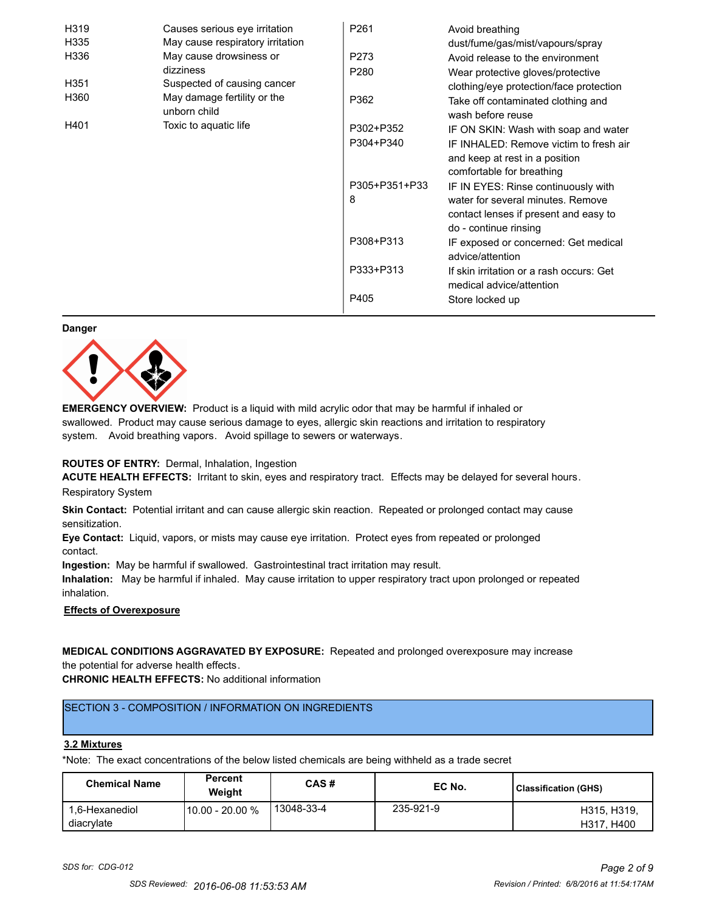| H319 | Causes serious eye irritation               | P261             | Avoid breathing                                                      |
|------|---------------------------------------------|------------------|----------------------------------------------------------------------|
| H335 | May cause respiratory irritation            |                  | dust/fume/gas/mist/vapours/spray                                     |
| H336 | May cause drowsiness or                     | P273             | Avoid release to the environment                                     |
|      | dizziness                                   | P <sub>280</sub> | Wear protective gloves/protective                                    |
| H351 | Suspected of causing cancer                 |                  | clothing/eye protection/face protection                              |
| H360 | May damage fertility or the<br>unborn child | P362             | Take off contaminated clothing and<br>wash before reuse              |
| H401 | Toxic to aquatic life                       | P302+P352        | IF ON SKIN: Wash with soap and water                                 |
|      |                                             | P304+P340        | IF INHALED: Remove victim to fresh air                               |
|      |                                             |                  | and keep at rest in a position<br>comfortable for breathing          |
|      |                                             | P305+P351+P33    | IF IN EYES: Rinse continuously with                                  |
|      |                                             | 8                | water for several minutes. Remove                                    |
|      |                                             |                  | contact lenses if present and easy to                                |
|      |                                             |                  | do - continue rinsing                                                |
|      |                                             | P308+P313        | IF exposed or concerned: Get medical                                 |
|      |                                             |                  | advice/attention                                                     |
|      |                                             | P333+P313        | If skin irritation or a rash occurs: Get<br>medical advice/attention |
|      |                                             | P405             | Store locked up                                                      |

#### **Danger**



**EMERGENCY OVERVIEW:** Product is a liquid with mild acrylic odor that may be harmful if inhaled or swallowed. Product may cause serious damage to eyes, allergic skin reactions and irritation to respiratory system. Avoid breathing vapors. Avoid spillage to sewers or waterways.

#### **ROUTES OF ENTRY:** Dermal, Inhalation, Ingestion

**ACUTE HEALTH EFFECTS:** Irritant to skin, eyes and respiratory tract. Effects may be delayed for several hours. Respiratory System

**Skin Contact:** Potential irritant and can cause allergic skin reaction. Repeated or prolonged contact may cause sensitization.

**Eye Contact:** Liquid, vapors, or mists may cause eye irritation. Protect eyes from repeated or prolonged contact.

**Ingestion:** May be harmful if swallowed. Gastrointestinal tract irritation may result.

**Inhalation:** May be harmful if inhaled. May cause irritation to upper respiratory tract upon prolonged or repeated inhalation.

#### **Effects of Overexposure**

**MEDICAL CONDITIONS AGGRAVATED BY EXPOSURE:** Repeated and prolonged overexposure may increase the potential for adverse health effects.

**CHRONIC HEALTH EFFECTS:** No additional information

# SECTION 3 - COMPOSITION / INFORMATION ON INGREDIENTS

#### **3.2 Mixtures**

\*Note: The exact concentrations of the below listed chemicals are being withheld as a trade secret

| <b>Chemical Name</b>         | Percent<br>Weight | CAS#       | EC No.    | <b>Classification (GHS)</b> |
|------------------------------|-------------------|------------|-----------|-----------------------------|
| 1.6-Hexanediol<br>diacrylate | 10.00 - 20.00 %   | 13048-33-4 | 235-921-9 | H315, H319,<br>H317, H400   |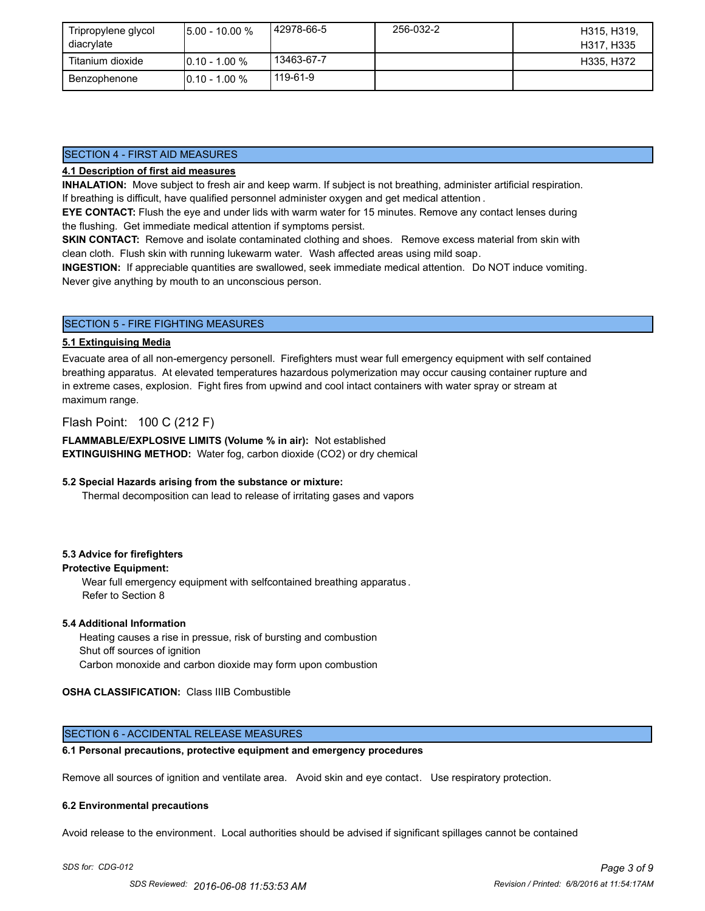| Tripropylene glycol<br>diacrylate | $15.00 - 10.00 %$ | l 42978-66-5 | 256-032-2 | H315, H319.<br>H317, H335 |
|-----------------------------------|-------------------|--------------|-----------|---------------------------|
| Titanium dioxide                  | $10.10 - 1.00 %$  | 13463-67-7   |           | H335, H372                |
| Benzophenone                      | $10.10 - 1.00 %$  | 119-61-9     |           |                           |

# SECTION 4 - FIRST AID MEASURES

# **4.1 Description of first aid measures**

**INHALATION:** Move subject to fresh air and keep warm. If subject is not breathing, administer artificial respiration. If breathing is difficult, have qualified personnel administer oxygen and get medical attention .

**EYE CONTACT:** Flush the eye and under lids with warm water for 15 minutes. Remove any contact lenses during the flushing. Get immediate medical attention if symptoms persist.

**SKIN CONTACT:** Remove and isolate contaminated clothing and shoes. Remove excess material from skin with clean cloth. Flush skin with running lukewarm water. Wash affected areas using mild soap.

**INGESTION:** If appreciable quantities are swallowed, seek immediate medical attention. Do NOT induce vomiting. Never give anything by mouth to an unconscious person.

# SECTION 5 - FIRE FIGHTING MEASURES

#### **5.1 Extinguising Media**

Evacuate area of all non-emergency personell. Firefighters must wear full emergency equipment with self contained breathing apparatus. At elevated temperatures hazardous polymerization may occur causing container rupture and in extreme cases, explosion. Fight fires from upwind and cool intact containers with water spray or stream at maximum range.

Flash Point: 100 C (212 F)

**FLAMMABLE/EXPLOSIVE LIMITS (Volume % in air):** Not established **EXTINGUISHING METHOD:** Water fog, carbon dioxide (CO2) or dry chemical

#### **5.2 Special Hazards arising from the substance or mixture:**

Thermal decomposition can lead to release of irritating gases and vapors

#### **5.3 Advice for firefighters**

#### **Protective Equipment:**

Wear full emergency equipment with selfcontained breathing apparatus . Refer to Section 8

#### **5.4 Additional Information**

 Heating causes a rise in pressue, risk of bursting and combustion Shut off sources of ignition Carbon monoxide and carbon dioxide may form upon combustion

#### **OSHA CLASSIFICATION:** Class IIIB Combustible

#### SECTION 6 - ACCIDENTAL RELEASE MEASURES

#### **6.1 Personal precautions, protective equipment and emergency procedures**

Remove all sources of ignition and ventilate area. Avoid skin and eye contact. Use respiratory protection.

#### **6.2 Environmental precautions**

Avoid release to the environment. Local authorities should be advised if significant spillages cannot be contained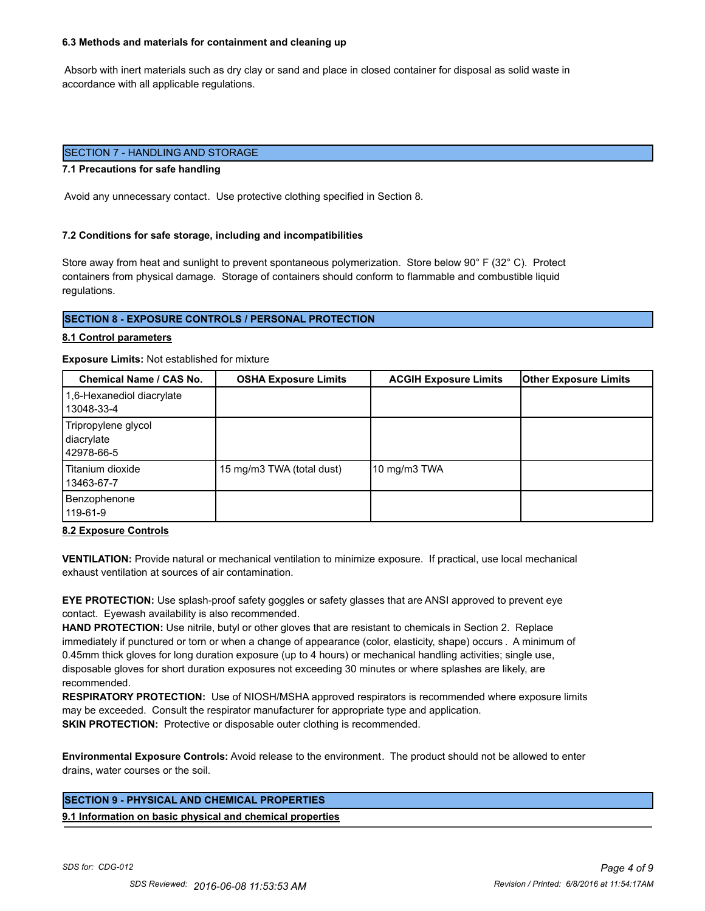#### **6.3 Methods and materials for containment and cleaning up**

 Absorb with inert materials such as dry clay or sand and place in closed container for disposal as solid waste in accordance with all applicable regulations.

# SECTION 7 - HANDLING AND STORAGE

#### **7.1 Precautions for safe handling**

Avoid any unnecessary contact. Use protective clothing specified in Section 8.

#### **7.2 Conditions for safe storage, including and incompatibilities**

Store away from heat and sunlight to prevent spontaneous polymerization. Store below 90° F (32° C). Protect containers from physical damage. Storage of containers should conform to flammable and combustible liquid regulations.

#### **SECTION 8 - EXPOSURE CONTROLS / PERSONAL PROTECTION**

#### **8.1 Control parameters**

#### **Exposure Limits:** Not established for mixture

| <b>Chemical Name / CAS No.</b>                  | <b>OSHA Exposure Limits</b> | <b>ACGIH Exposure Limits</b> | <b>Other Exposure Limits</b> |
|-------------------------------------------------|-----------------------------|------------------------------|------------------------------|
| 1,6-Hexanediol diacrylate<br>13048-33-4         |                             |                              |                              |
| Tripropylene glycol<br>diacrylate<br>42978-66-5 |                             |                              |                              |
| Titanium dioxide<br>13463-67-7                  | 15 mg/m3 TWA (total dust)   | 10 mg/m $3$ TWA              |                              |
| Benzophenone<br>119-61-9                        |                             |                              |                              |

**8.2 Exposure Controls**

**VENTILATION:** Provide natural or mechanical ventilation to minimize exposure. If practical, use local mechanical exhaust ventilation at sources of air contamination.

**EYE PROTECTION:** Use splash-proof safety goggles or safety glasses that are ANSI approved to prevent eye contact. Eyewash availability is also recommended.

**HAND PROTECTION:** Use nitrile, butyl or other gloves that are resistant to chemicals in Section 2. Replace immediately if punctured or torn or when a change of appearance (color, elasticity, shape) occurs . A minimum of 0.45mm thick gloves for long duration exposure (up to 4 hours) or mechanical handling activities; single use, disposable gloves for short duration exposures not exceeding 30 minutes or where splashes are likely, are recommended.

**RESPIRATORY PROTECTION:** Use of NIOSH/MSHA approved respirators is recommended where exposure limits may be exceeded. Consult the respirator manufacturer for appropriate type and application. **SKIN PROTECTION:** Protective or disposable outer clothing is recommended.

**Environmental Exposure Controls:** Avoid release to the environment. The product should not be allowed to enter drains, water courses or the soil.

# **SECTION 9 - PHYSICAL AND CHEMICAL PROPERTIES**

**9.1 Information on basic physical and chemical properties**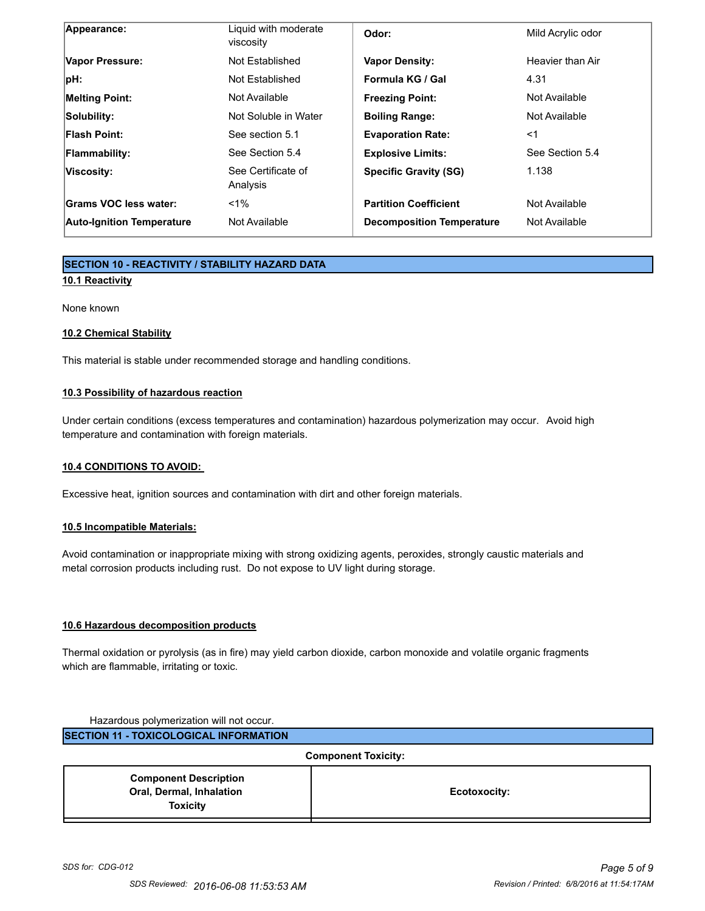| <b>Auto-Ignition Temperature</b> | Not Available                     | <b>Decomposition Temperature</b> | Not Available     |
|----------------------------------|-----------------------------------|----------------------------------|-------------------|
| Grams VOC less water:            | $1\%$                             | <b>Partition Coefficient</b>     | Not Available     |
| Viscosity:                       | See Certificate of<br>Analysis    | <b>Specific Gravity (SG)</b>     | 1.138             |
| <b>Flammability:</b>             | See Section 5.4                   | <b>Explosive Limits:</b>         | See Section 5.4   |
| <b>Flash Point:</b>              | See section 5.1                   | <b>Evaporation Rate:</b>         | <1                |
| Solubility:                      | Not Soluble in Water              | <b>Boiling Range:</b>            | Not Available     |
| <b>Melting Point:</b>            | Not Available                     | <b>Freezing Point:</b>           | Not Available     |
| $ pH$ :                          | Not Established                   | Formula KG / Gal                 | 4.31              |
| Vapor Pressure:                  | Not Established                   | <b>Vapor Density:</b>            | Heavier than Air  |
| Appearance:                      | Liquid with moderate<br>viscosity | Odor:                            | Mild Acrylic odor |

# **SECTION 10 - REACTIVITY / STABILITY HAZARD DATA 10.1 Reactivity**

None known

# **10.2 Chemical Stability**

This material is stable under recommended storage and handling conditions.

# **10.3 Possibility of hazardous reaction**

Under certain conditions (excess temperatures and contamination) hazardous polymerization may occur. Avoid high temperature and contamination with foreign materials.

# **10.4 CONDITIONS TO AVOID:**

Excessive heat, ignition sources and contamination with dirt and other foreign materials.

#### **10.5 Incompatible Materials:**

Avoid contamination or inappropriate mixing with strong oxidizing agents, peroxides, strongly caustic materials and metal corrosion products including rust. Do not expose to UV light during storage.

#### **10.6 Hazardous decomposition products**

Thermal oxidation or pyrolysis (as in fire) may yield carbon dioxide, carbon monoxide and volatile organic fragments which are flammable, irritating or toxic.

| Hazardous polymerization will not occur.      |              |  |
|-----------------------------------------------|--------------|--|
| <b>SECTION 11 - TOXICOLOGICAL INFORMATION</b> |              |  |
| <b>Component Toxicity:</b>                    |              |  |
| <b>Component Description</b>                  |              |  |
| Oral, Dermal, Inhalation                      | Ecotoxocity: |  |
| <b>Toxicity</b>                               |              |  |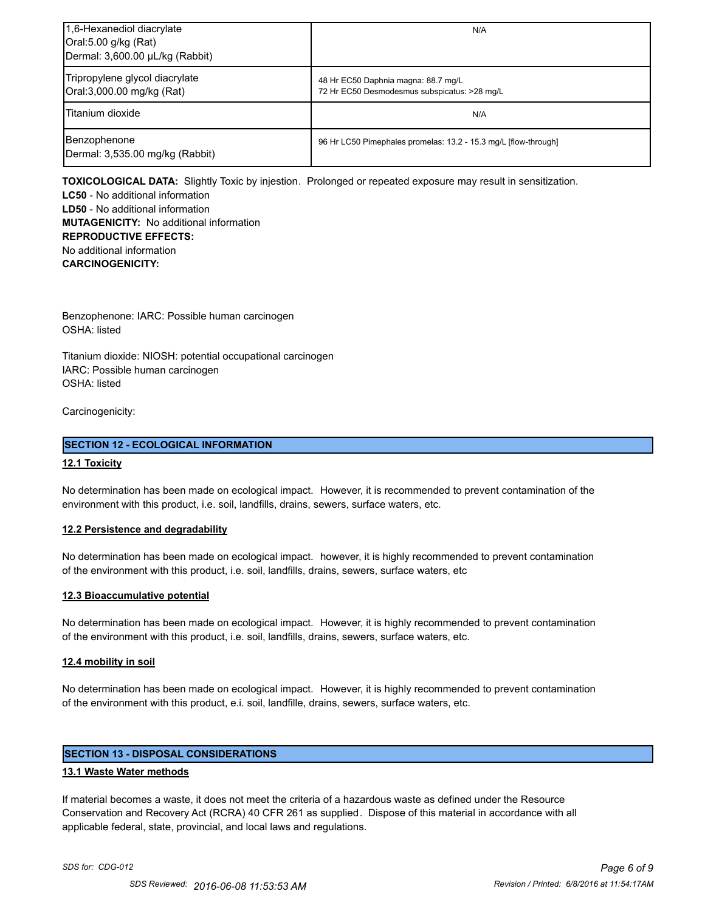| 1,6-Hexanediol diacrylate<br>Oral:5.00 g/kg (Rat)<br>Dermal: 3,600.00 µL/kg (Rabbit) | N/A                                                                                 |
|--------------------------------------------------------------------------------------|-------------------------------------------------------------------------------------|
| Tripropylene glycol diacrylate<br>Oral:3,000.00 mg/kg (Rat)                          | 48 Hr EC50 Daphnia magna: 88.7 mg/L<br>72 Hr EC50 Desmodesmus subspicatus: >28 mg/L |
| Titanium dioxide                                                                     | N/A                                                                                 |
| Benzophenone<br>Dermal: 3,535.00 mg/kg (Rabbit)                                      | 96 Hr LC50 Pimephales promelas: 13.2 - 15.3 mg/L [flow-through]                     |

**TOXICOLOGICAL DATA:** Slightly Toxic by injestion. Prolonged or repeated exposure may result in sensitization.

**LC50** - No additional information **LD50** - No additional information **MUTAGENICITY:** No additional information **REPRODUCTIVE EFFECTS:** No additional information **CARCINOGENICITY:**

Benzophenone: IARC: Possible human carcinogen OSHA: listed

Titanium dioxide: NIOSH: potential occupational carcinogen IARC: Possible human carcinogen OSHA: listed

Carcinogenicity:

# **SECTION 12 - ECOLOGICAL INFORMATION**

#### **12.1 Toxicity**

No determination has been made on ecological impact. However, it is recommended to prevent contamination of the environment with this product, i.e. soil, landfills, drains, sewers, surface waters, etc.

#### **12.2 Persistence and degradability**

No determination has been made on ecological impact. however, it is highly recommended to prevent contamination of the environment with this product, i.e. soil, landfills, drains, sewers, surface waters, etc

#### **12.3 Bioaccumulative potential**

No determination has been made on ecological impact. However, it is highly recommended to prevent contamination of the environment with this product, i.e. soil, landfills, drains, sewers, surface waters, etc.

#### **12.4 mobility in soil**

No determination has been made on ecological impact. However, it is highly recommended to prevent contamination of the environment with this product, e.i. soil, landfille, drains, sewers, surface waters, etc.

# **SECTION 13 - DISPOSAL CONSIDERATIONS**

#### **13.1 Waste Water methods**

If material becomes a waste, it does not meet the criteria of a hazardous waste as defined under the Resource Conservation and Recovery Act (RCRA) 40 CFR 261 as supplied. Dispose of this material in accordance with all applicable federal, state, provincial, and local laws and regulations.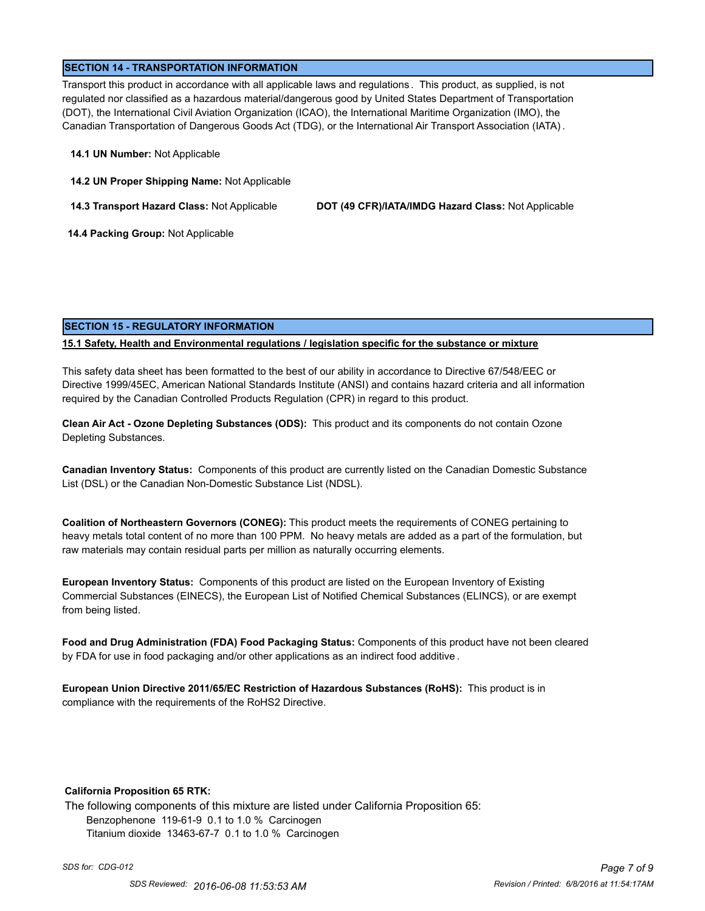#### **SECTION 14 - TRANSPORTATION INFORMATION**

Transport this product in accordance with all applicable laws and regulations . This product, as supplied, is not regulated nor classified as a hazardous material/dangerous good by United States Department of Transportation (DOT), the International Civil Aviation Organization (ICAO), the International Maritime Organization (IMO), the Canadian Transportation of Dangerous Goods Act (TDG), or the International Air Transport Association (IATA) .

#### **14.1 UN Number:** Not Applicable

**14.2 UN Proper Shipping Name:** Not Applicable

**14.3 Transport Hazard Class:** Not Applicable **DOT (49 CFR)/IATA/IMDG Hazard Class:** Not Applicable

 **14.4 Packing Group:** Not Applicable

#### **SECTION 15 - REGULATORY INFORMATION**

#### **15.1 Safety, Health and Environmental regulations / legislation specific for the substance or mixture**

This safety data sheet has been formatted to the best of our ability in accordance to Directive 67/548/EEC or Directive 1999/45EC, American National Standards Institute (ANSI) and contains hazard criteria and all information required by the Canadian Controlled Products Regulation (CPR) in regard to this product.

**Clean Air Act - Ozone Depleting Substances (ODS):** This product and its components do not contain Ozone Depleting Substances.

**Canadian Inventory Status:** Components of this product are currently listed on the Canadian Domestic Substance List (DSL) or the Canadian Non-Domestic Substance List (NDSL).

**Coalition of Northeastern Governors (CONEG):** This product meets the requirements of CONEG pertaining to heavy metals total content of no more than 100 PPM. No heavy metals are added as a part of the formulation, but raw materials may contain residual parts per million as naturally occurring elements.

**European Inventory Status:** Components of this product are listed on the European Inventory of Existing Commercial Substances (EINECS), the European List of Notified Chemical Substances (ELINCS), or are exempt from being listed.

**Food and Drug Administration (FDA) Food Packaging Status:** Components of this product have not been cleared by FDA for use in food packaging and/or other applications as an indirect food additive .

**European Union Directive 2011/65/EC Restriction of Hazardous Substances (RoHS):** This product is in compliance with the requirements of the RoHS2 Directive.

#### **California Proposition 65 RTK:**

The following components of this mixture are listed under California Proposition 65: Benzophenone 119-61-9 0.1 to 1.0 % Carcinogen Titanium dioxide 13463-67-7 0.1 to 1.0 % Carcinogen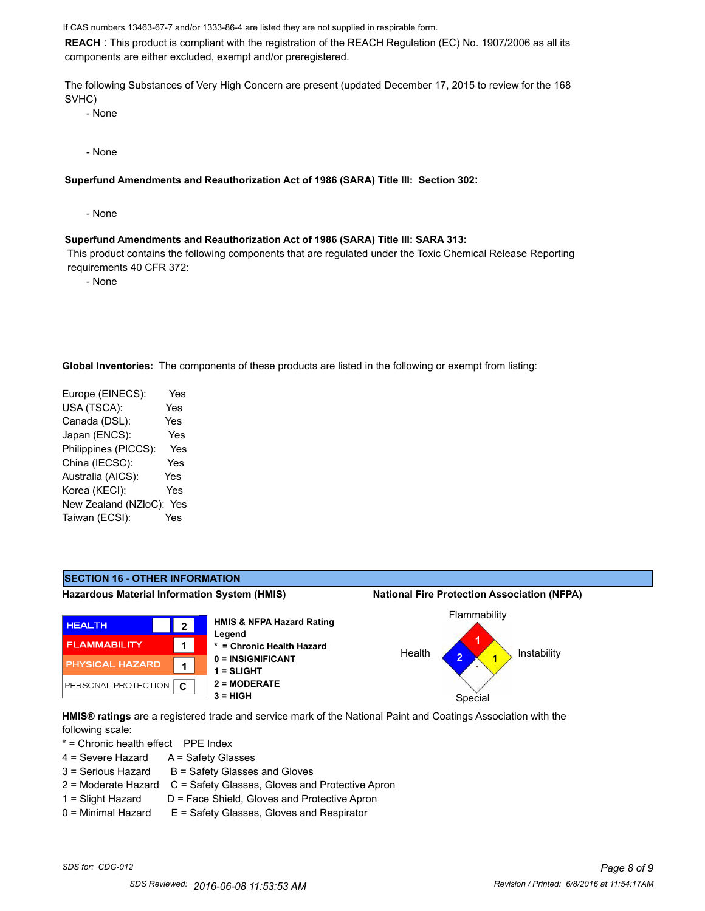If CAS numbers 13463-67-7 and/or 1333-86-4 are listed they are not supplied in respirable form.

**REACH** : This product is compliant with the registration of the REACH Regulation (EC) No. 1907/2006 as all its components are either excluded, exempt and/or preregistered.

The following Substances of Very High Concern are present (updated December 17, 2015 to review for the 168 SVHC)

- None

- None

**Superfund Amendments and Reauthorization Act of 1986 (SARA) Title III: Section 302:**

- None

#### **Superfund Amendments and Reauthorization Act of 1986 (SARA) Title III: SARA 313:**

 This product contains the following components that are regulated under the Toxic Chemical Release Reporting requirements 40 CFR 372:

- None

**Global Inventories:** The components of these products are listed in the following or exempt from listing:

Europe (EINECS): Yes USA (TSCA): Yes Canada (DSL): Yes Japan (ENCS): Yes Philippines (PICCS): Yes China (IECSC): Yes Australia (AICS): Yes Korea (KECI): Yes New Zealand (NZloC): Yes Taiwan (ECSI): Yes



**HMIS® ratings** are a registered trade and service mark of the National Paint and Coatings Association with the following scale:

\* = Chronic health effect PPE Index

- $4 =$  Severe Hazard  $A =$  Safety Glasses
- $3 =$  Serious Hazard  $B =$  Safety Glasses and Gloves
- 2 = Moderate Hazard C = Safety Glasses, Gloves and Protective Apron
- 
- 1 = Slight Hazard D = Face Shield, Gloves and Protective Apron 0 = Minimal Hazard E = Safety Glasses, Gloves and Respirator
-